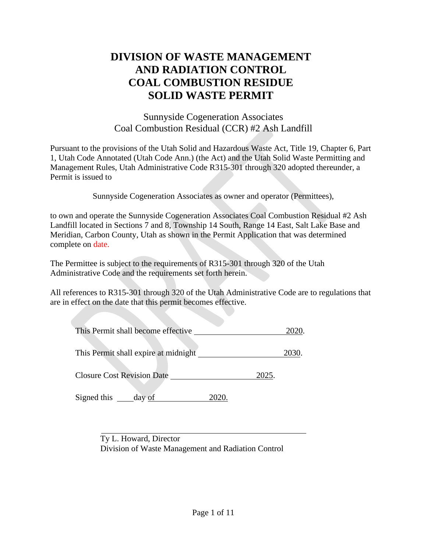# **DIVISION OF WASTE MANAGEMENT AND RADIATION CONTROL COAL COMBUSTION RESIDUE SOLID WASTE PERMIT**

Sunnyside Cogeneration Associates Coal Combustion Residual (CCR) #2 Ash Landfill

Pursuant to the provisions of the Utah Solid and Hazardous Waste Act, Title 19, Chapter 6, Part 1, Utah Code Annotated (Utah Code Ann.) (the Act) and the Utah Solid Waste Permitting and Management Rules, Utah Administrative Code R315-301 through 320 adopted thereunder, a Permit is issued to

Sunnyside Cogeneration Associates as owner and operator (Permittees),

to own and operate the Sunnyside Cogeneration Associates Coal Combustion Residual #2 Ash Landfill located in Sections 7 and 8, Township 14 South, Range 14 East, Salt Lake Base and Meridian, Carbon County, Utah as shown in the Permit Application that was determined complete on date.

The Permittee is subject to the requirements of R315-301 through 320 of the Utah Administrative Code and the requirements set forth herein.

All references to R315-301 through 320 of the Utah Administrative Code are to regulations that are in effect on the date that this permit becomes effective.

| This Permit shall become effective   |       |
|--------------------------------------|-------|
| This Permit shall expire at midnight | 2030  |
| <b>Closure Cost Revision Date</b>    | 2025. |

Signed this \_\_\_\_\_\_ day of 2020.

Ty L. Howard, Director Division of Waste Management and Radiation Control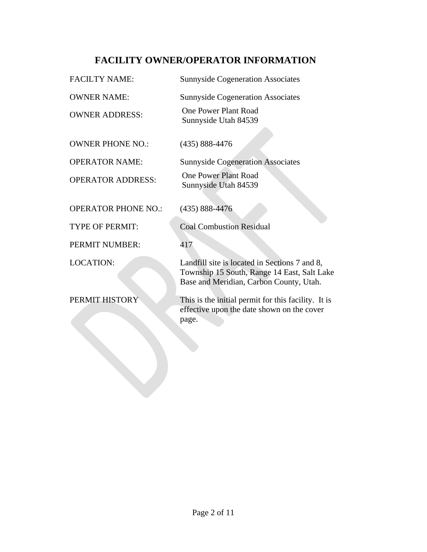## **FACILITY OWNER/OPERATOR INFORMATION**

| <b>FACILTY NAME:</b>       | <b>Sunnyside Cogeneration Associates</b>                                                                                                |
|----------------------------|-----------------------------------------------------------------------------------------------------------------------------------------|
| <b>OWNER NAME:</b>         | <b>Sunnyside Cogeneration Associates</b>                                                                                                |
| <b>OWNER ADDRESS:</b>      | <b>One Power Plant Road</b><br>Sunnyside Utah 84539                                                                                     |
| <b>OWNER PHONE NO.:</b>    | $(435) 888 - 4476$                                                                                                                      |
| <b>OPERATOR NAME:</b>      | <b>Sunnyside Cogeneration Associates</b>                                                                                                |
| <b>OPERATOR ADDRESS:</b>   | <b>One Power Plant Road</b><br>Sunnyside Utah 84539                                                                                     |
| <b>OPERATOR PHONE NO.:</b> | $(435) 888 - 4476$                                                                                                                      |
| <b>TYPE OF PERMIT:</b>     | <b>Coal Combustion Residual</b>                                                                                                         |
| PERMIT NUMBER:             | 417                                                                                                                                     |
| <b>LOCATION:</b>           | Landfill site is located in Sections 7 and 8,<br>Township 15 South, Range 14 East, Salt Lake<br>Base and Meridian, Carbon County, Utah. |
| PERMIT HISTORY             | This is the initial permit for this facility. It is<br>effective upon the date shown on the cover<br>page.                              |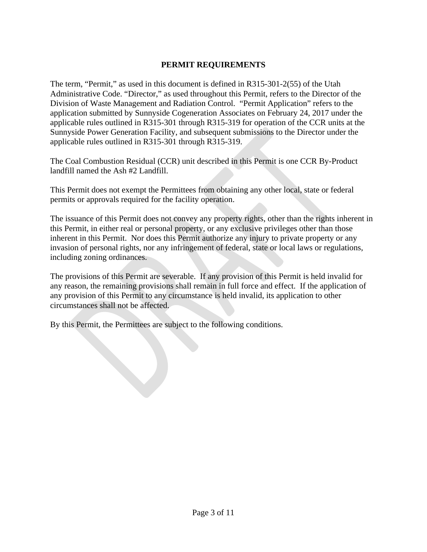#### **PERMIT REQUIREMENTS**

The term, "Permit," as used in this document is defined in R315-301-2(55) of the Utah Administrative Code. "Director," as used throughout this Permit, refers to the Director of the Division of Waste Management and Radiation Control. "Permit Application" refers to the application submitted by Sunnyside Cogeneration Associates on February 24, 2017 under the applicable rules outlined in R315-301 through R315-319 for operation of the CCR units at the Sunnyside Power Generation Facility, and subsequent submissions to the Director under the applicable rules outlined in R315-301 through R315-319.

The Coal Combustion Residual (CCR) unit described in this Permit is one CCR By-Product landfill named the Ash #2 Landfill.

This Permit does not exempt the Permittees from obtaining any other local, state or federal permits or approvals required for the facility operation.

The issuance of this Permit does not convey any property rights, other than the rights inherent in this Permit, in either real or personal property, or any exclusive privileges other than those inherent in this Permit. Nor does this Permit authorize any injury to private property or any invasion of personal rights, nor any infringement of federal, state or local laws or regulations, including zoning ordinances.

The provisions of this Permit are severable. If any provision of this Permit is held invalid for any reason, the remaining provisions shall remain in full force and effect. If the application of any provision of this Permit to any circumstance is held invalid, its application to other circumstances shall not be affected.

By this Permit, the Permittees are subject to the following conditions.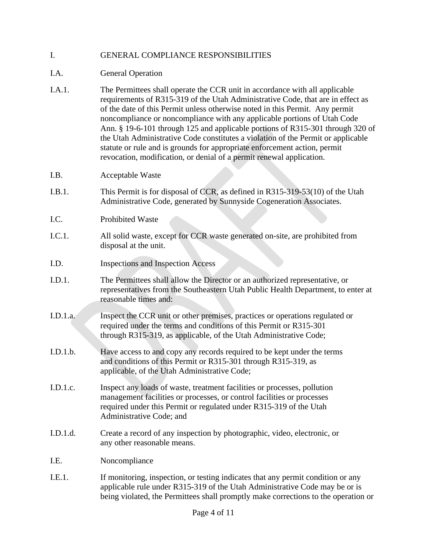#### I. GENERAL COMPLIANCE RESPONSIBILITIES

- I.A. General Operation
- I.A.1. The Permittees shall operate the CCR unit in accordance with all applicable requirements of R315-319 of the Utah Administrative Code, that are in effect as of the date of this Permit unless otherwise noted in this Permit. Any permit noncompliance or noncompliance with any applicable portions of Utah Code Ann. § 19-6-101 through 125 and applicable portions of R315-301 through 320 of the Utah Administrative Code constitutes a violation of the Permit or applicable statute or rule and is grounds for appropriate enforcement action, permit revocation, modification, or denial of a permit renewal application.
- I.B. Acceptable Waste
- I.B.1. This Permit is for disposal of CCR, as defined in R315-319-53(10) of the Utah Administrative Code, generated by Sunnyside Cogeneration Associates.
- I.C. Prohibited Waste
- I.C.1. All solid waste, except for CCR waste generated on-site, are prohibited from disposal at the unit.
- I.D. Inspections and Inspection Access
- I.D.1. The Permittees shall allow the Director or an authorized representative, or representatives from the Southeastern Utah Public Health Department, to enter at reasonable times and:
- I.D.1.a. Inspect the CCR unit or other premises, practices or operations regulated or required under the terms and conditions of this Permit or R315-301 through R315-319, as applicable, of the Utah Administrative Code;
- I.D.1.b. Have access to and copy any records required to be kept under the terms and conditions of this Permit or R315-301 through R315-319, as applicable, of the Utah Administrative Code;
- I.D.1.c. Inspect any loads of waste, treatment facilities or processes, pollution management facilities or processes, or control facilities or processes required under this Permit or regulated under R315-319 of the Utah Administrative Code; and
- I.D.1.d. Create a record of any inspection by photographic, video, electronic, or any other reasonable means.
- I.E. Noncompliance
- I.E.1. If monitoring, inspection, or testing indicates that any permit condition or any applicable rule under R315-319 of the Utah Administrative Code may be or is being violated, the Permittees shall promptly make corrections to the operation or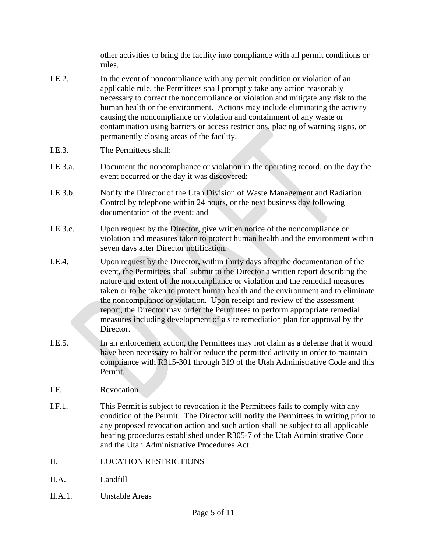other activities to bring the facility into compliance with all permit conditions or rules.

- I.E.2. In the event of noncompliance with any permit condition or violation of an applicable rule, the Permittees shall promptly take any action reasonably necessary to correct the noncompliance or violation and mitigate any risk to the human health or the environment. Actions may include eliminating the activity causing the noncompliance or violation and containment of any waste or contamination using barriers or access restrictions, placing of warning signs, or permanently closing areas of the facility.
- I.E.3. The Permittees shall:
- I.E.3.a. Document the noncompliance or violation in the operating record, on the day the event occurred or the day it was discovered:
- I.E.3.b. Notify the Director of the Utah Division of Waste Management and Radiation Control by telephone within 24 hours, or the next business day following documentation of the event; and
- I.E.3.c. Upon request by the Director, give written notice of the noncompliance or violation and measures taken to protect human health and the environment within seven days after Director notification.
- I.E.4. Upon request by the Director, within thirty days after the documentation of the event, the Permittees shall submit to the Director a written report describing the nature and extent of the noncompliance or violation and the remedial measures taken or to be taken to protect human health and the environment and to eliminate the noncompliance or violation. Upon receipt and review of the assessment report, the Director may order the Permittees to perform appropriate remedial measures including development of a site remediation plan for approval by the Director.
- I.E.5. In an enforcement action, the Permittees may not claim as a defense that it would have been necessary to halt or reduce the permitted activity in order to maintain compliance with R315-301 through 319 of the Utah Administrative Code and this Permit.
- I.F. Revocation
- I.F.1. This Permit is subject to revocation if the Permittees fails to comply with any condition of the Permit. The Director will notify the Permittees in writing prior to any proposed revocation action and such action shall be subject to all applicable hearing procedures established under R305-7 of the Utah Administrative Code and the Utah Administrative Procedures Act.
- II. LOCATION RESTRICTIONS
- II.A. Landfill
- II.A.1. Unstable Areas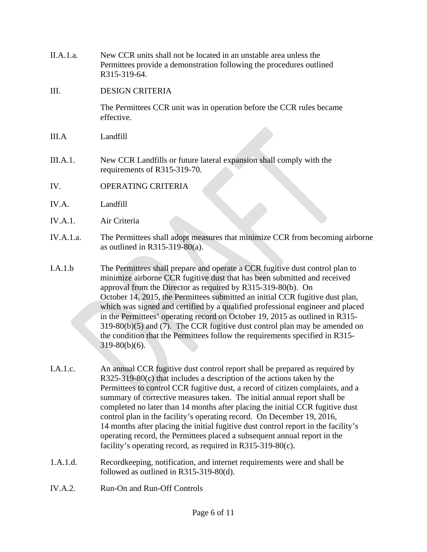II.A.1.a. New CCR units shall not be located in an unstable area unless the Permittees provide a demonstration following the procedures outlined R315-319-64.

#### III. DESIGN CRITERIA

The Permittees CCR unit was in operation before the CCR rules became effective.

- III.A Landfill
- III.A.1. New CCR Landfills or future lateral expansion shall comply with the requirements of R315-319-70.
- IV. OPERATING CRITERIA
- IV.A. Landfill
- IV.A.1. Air Criteria
- IV.A.1.a. The Permittees shall adopt measures that minimize CCR from becoming airborne as outlined in R315-319-80(a).
- I.A.1.b The Permittees shall prepare and operate a CCR fugitive dust control plan to minimize airborne CCR fugitive dust that has been submitted and received approval from the Director as required by R315-319-80(b). On October 14, 2015, the Permittees submitted an initial CCR fugitive dust plan, which was signed and certified by a qualified professional engineer and placed in the Permittees' operating record on October 19, 2015 as outlined in R315- 319-80(b)(5) and (7). The CCR fugitive dust control plan may be amended on the condition that the Permittees follow the requirements specified in R315-  $319-80(b)(6)$ .
- I.A.1.c. An annual CCR fugitive dust control report shall be prepared as required by R325-319-80(c) that includes a description of the actions taken by the Permittees to control CCR fugitive dust, a record of citizen complaints, and a summary of corrective measures taken. The initial annual report shall be completed no later than 14 months after placing the initial CCR fugitive dust control plan in the facility's operating record. On December 19, 2016, 14 months after placing the initial fugitive dust control report in the facility's operating record, the Permittees placed a subsequent annual report in the facility's operating record, as required in R315-319-80(c).
- 1.A.1.d. Recordkeeping, notification, and internet requirements were and shall be followed as outlined in R315-319-80(d).
- IV.A.2. Run-On and Run-Off Controls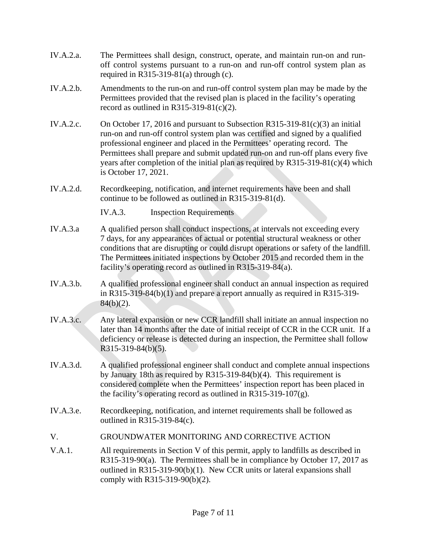- IV.A.2.a. The Permittees shall design, construct, operate, and maintain run-on and runoff control systems pursuant to a run-on and run-off control system plan as required in R315-319-81(a) through  $(c)$ .
- IV.A.2.b. Amendments to the run-on and run-off control system plan may be made by the Permittees provided that the revised plan is placed in the facility's operating record as outlined in  $R315-319-81(c)(2)$ .
- IV.A.2.c. On October 17, 2016 and pursuant to Subsection R315-319-81(c)(3) an initial run-on and run-off control system plan was certified and signed by a qualified professional engineer and placed in the Permittees' operating record. The Permittees shall prepare and submit updated run-on and run-off plans every five years after completion of the initial plan as required by R315-319-81(c)(4) which is October 17, 2021.
- IV.A.2.d. Recordkeeping, notification, and internet requirements have been and shall continue to be followed as outlined in R315-319-81(d).

IV.A.3. Inspection Requirements

- IV.A.3.a A qualified person shall conduct inspections, at intervals not exceeding every 7 days, for any appearances of actual or potential structural weakness or other conditions that are disrupting or could disrupt operations or safety of the landfill. The Permittees initiated inspections by October 2015 and recorded them in the facility's operating record as outlined in R315-319-84(a).
- IV.A.3.b. A qualified professional engineer shall conduct an annual inspection as required in R315-319-84(b)(1) and prepare a report annually as required in R315-319-  $84(b)(2)$ .
- IV.A.3.c. Any lateral expansion or new CCR landfill shall initiate an annual inspection no later than 14 months after the date of initial receipt of CCR in the CCR unit. If a deficiency or release is detected during an inspection, the Permittee shall follow R315-319-84(b)(5).
- IV.A.3.d. A qualified professional engineer shall conduct and complete annual inspections by January 18th as required by R315-319-84(b)(4). This requirement is considered complete when the Permittees' inspection report has been placed in the facility's operating record as outlined in  $R315-319-107(g)$ .
- IV.A.3.e. Recordkeeping, notification, and internet requirements shall be followed as outlined in R315-319-84(c).
- V. GROUNDWATER MONITORING AND CORRECTIVE ACTION
- V.A.1. All requirements in Section V of this permit, apply to landfills as described in R315-319-90(a). The Permittees shall be in compliance by October 17, 2017 as outlined in R315-319-90(b)(1). New CCR units or lateral expansions shall comply with R315-319-90(b)(2).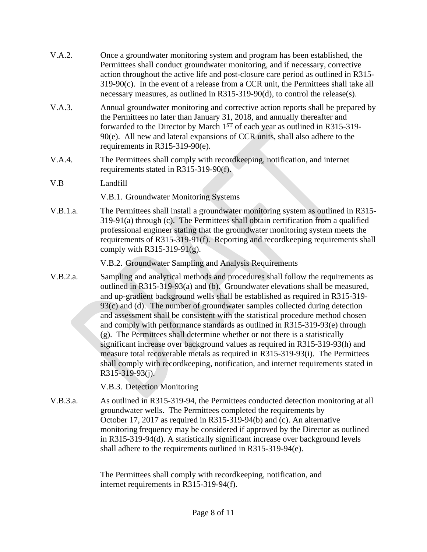| V.A.2.   | Once a groundwater monitoring system and program has been established, the<br>Permittees shall conduct groundwater monitoring, and if necessary, corrective<br>action throughout the active life and post-closure care period as outlined in R315-<br>$319-90(c)$ . In the event of a release from a CCR unit, the Permittees shall take all<br>necessary measures, as outlined in R315-319-90(d), to control the release(s).                                                                                                                                                                                                                                                                                                                                                                                                                                  |
|----------|----------------------------------------------------------------------------------------------------------------------------------------------------------------------------------------------------------------------------------------------------------------------------------------------------------------------------------------------------------------------------------------------------------------------------------------------------------------------------------------------------------------------------------------------------------------------------------------------------------------------------------------------------------------------------------------------------------------------------------------------------------------------------------------------------------------------------------------------------------------|
| V.A.3.   | Annual groundwater monitoring and corrective action reports shall be prepared by<br>the Permittees no later than January 31, 2018, and annually thereafter and<br>forwarded to the Director by March 1 <sup>ST</sup> of each year as outlined in R315-319-<br>90(e). All new and lateral expansions of CCR units, shall also adhere to the<br>requirements in R315-319-90 $(e)$ .                                                                                                                                                                                                                                                                                                                                                                                                                                                                              |
| V.A.4.   | The Permittees shall comply with recordkeeping, notification, and internet<br>requirements stated in R315-319-90(f).                                                                                                                                                                                                                                                                                                                                                                                                                                                                                                                                                                                                                                                                                                                                           |
| V.B      | Landfill                                                                                                                                                                                                                                                                                                                                                                                                                                                                                                                                                                                                                                                                                                                                                                                                                                                       |
|          | V.B.1. Groundwater Monitoring Systems                                                                                                                                                                                                                                                                                                                                                                                                                                                                                                                                                                                                                                                                                                                                                                                                                          |
| V.B.1.a. | The Permittees shall install a groundwater monitoring system as outlined in R315-<br>$319-91(a)$ through (c). The Permittees shall obtain certification from a qualified<br>professional engineer stating that the groundwater monitoring system meets the<br>requirements of R315-319-91(f). Reporting and recordkeeping requirements shall<br>comply with R315-319-91(g).                                                                                                                                                                                                                                                                                                                                                                                                                                                                                    |
|          | V.B.2. Groundwater Sampling and Analysis Requirements                                                                                                                                                                                                                                                                                                                                                                                                                                                                                                                                                                                                                                                                                                                                                                                                          |
| V.B.2.a. | Sampling and analytical methods and procedures shall follow the requirements as<br>outlined in R315-319-93(a) and (b). Groundwater elevations shall be measured,<br>and up-gradient background wells shall be established as required in R315-319-<br>93(c) and (d). The number of groundwater samples collected during detection<br>and assessment shall be consistent with the statistical procedure method chosen<br>and comply with performance standards as outlined in R315-319-93(e) through<br>(g). The Permittees shall determine whether or not there is a statistically<br>significant increase over background values as required in R315-319-93(h) and<br>measure total recoverable metals as required in R315-319-93(i). The Permittees<br>shall comply with recordkeeping, notification, and internet requirements stated in<br>R315-319-93(j). |
|          | V.B.3. Detection Monitoring                                                                                                                                                                                                                                                                                                                                                                                                                                                                                                                                                                                                                                                                                                                                                                                                                                    |
| V.B.3.a. | As outlined in R315-319-94, the Permittees conducted detection monitoring at all<br>groundwater wells. The Permittees completed the requirements by<br>October 17, 2017 as required in R315-319-94(b) and (c). An alternative<br>monitoring frequency may be considered if approved by the Director as outlined<br>in R315-319-94(d). A statistically significant increase over background levels<br>shall adhere to the requirements outlined in R315-319-94(e).                                                                                                                                                                                                                                                                                                                                                                                              |
|          |                                                                                                                                                                                                                                                                                                                                                                                                                                                                                                                                                                                                                                                                                                                                                                                                                                                                |

The Permittees shall comply with recordkeeping, notification, and internet requirements in R315-319-94(f).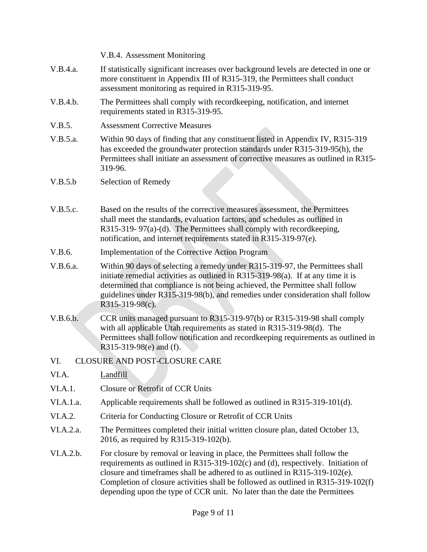|                                      | V.B.4. Assessment Monitoring                                                                                                                                                                                                                                                                                                                          |  |
|--------------------------------------|-------------------------------------------------------------------------------------------------------------------------------------------------------------------------------------------------------------------------------------------------------------------------------------------------------------------------------------------------------|--|
| V.B.4.a.                             | If statistically significant increases over background levels are detected in one or<br>more constituent in Appendix III of R315-319, the Permittees shall conduct<br>assessment monitoring as required in R315-319-95.                                                                                                                               |  |
| V.B.4.b.                             | The Permittees shall comply with recordkeeping, notification, and internet<br>requirements stated in R315-319-95.                                                                                                                                                                                                                                     |  |
| V.B.5.                               | <b>Assessment Corrective Measures</b>                                                                                                                                                                                                                                                                                                                 |  |
| V.B.5.a.                             | Within 90 days of finding that any constituent listed in Appendix IV, R315-319<br>has exceeded the groundwater protection standards under R315-319-95(h), the<br>Permittees shall initiate an assessment of corrective measures as outlined in R315-<br>319-96.                                                                                       |  |
| V.B.5.b                              | Selection of Remedy                                                                                                                                                                                                                                                                                                                                   |  |
|                                      |                                                                                                                                                                                                                                                                                                                                                       |  |
| V.B.5.c.                             | Based on the results of the corrective measures assessment, the Permittees<br>shall meet the standards, evaluation factors, and schedules as outlined in<br>R315-319-97(a)-(d). The Permittees shall comply with record keeping,<br>notification, and internet requirements stated in R315-319-97(e).                                                 |  |
| V.B.6.                               | <b>Implementation of the Corrective Action Program</b>                                                                                                                                                                                                                                                                                                |  |
| V.B.6.a.                             | Within 90 days of selecting a remedy under R315-319-97, the Permittees shall<br>initiate remedial activities as outlined in R315-319-98(a). If at any time it is<br>determined that compliance is not being achieved, the Permittee shall follow<br>guidelines under R315-319-98(b), and remedies under consideration shall follow<br>R315-319-98(c). |  |
| V.B.6.b.                             | CCR units managed pursuant to R315-319-97(b) or R315-319-98 shall comply<br>with all applicable Utah requirements as stated in R315-319-98(d). The<br>Permittees shall follow notification and recordkeeping requirements as outlined in<br>R315-319-98(e) and (f).                                                                                   |  |
| CLOSURE AND POST-CLOSURE CARE<br>VI. |                                                                                                                                                                                                                                                                                                                                                       |  |
| VI.A.                                | Landfill                                                                                                                                                                                                                                                                                                                                              |  |
| VI.A.1.                              | Closure or Retrofit of CCR Units                                                                                                                                                                                                                                                                                                                      |  |
| VI.A.1.a.                            | Applicable requirements shall be followed as outlined in R315-319-101(d).                                                                                                                                                                                                                                                                             |  |
| VI.A.2.                              | Criteria for Conducting Closure or Retrofit of CCR Units                                                                                                                                                                                                                                                                                              |  |
| VI.A.2.a.                            | The Permittees completed their initial written closure plan, dated October 13,<br>2016, as required by R315-319-102(b).                                                                                                                                                                                                                               |  |
| VI.A.2.b.                            | For closure by removal or leaving in place, the Permittees shall follow the<br>requirements as outlined in R315-319-102 $(c)$ and $(d)$ , respectively. Initiation of<br>closure and timeframes shall be adhered to as outlined in R315-319-102(e).<br>Completion of closure activities shall be followed as outlined in R315-319-102(f)              |  |

depending upon the type of CCR unit. No later than the date the Permittees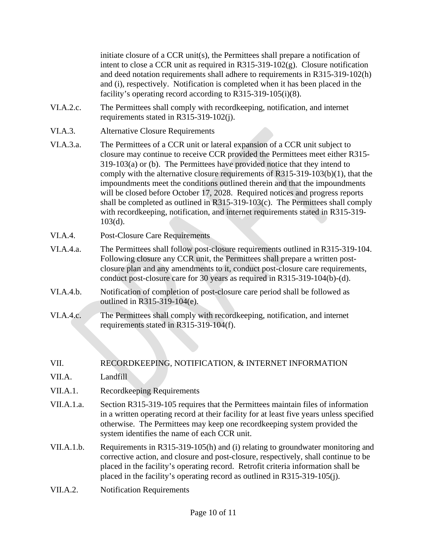initiate closure of a CCR unit(s), the Permittees shall prepare a notification of intent to close a CCR unit as required in R315-319-102(g). Closure notification and deed notation requirements shall adhere to requirements in R315-319-102(h) and (i), respectively. Notification is completed when it has been placed in the facility's operating record according to R315-319-105(i)(8).

- VI.A.2.c. The Permittees shall comply with recordkeeping, notification, and internet requirements stated in R315-319-102(j).
- VI.A.3. Alternative Closure Requirements

VI.A.3.a. The Permittees of a CCR unit or lateral expansion of a CCR unit subject to closure may continue to receive CCR provided the Permittees meet either R315- 319-103(a) or (b). The Permittees have provided notice that they intend to comply with the alternative closure requirements of R315-319-103(b)(1), that the impoundments meet the conditions outlined therein and that the impoundments will be closed before October 17, 2028. Required notices and progress reports shall be completed as outlined in R315-319-103(c). The Permittees shall comply with recordkeeping, notification, and internet requirements stated in R315-319- 103(d).

- VI.A.4. Post-Closure Care Requirements
- VI.A.4.a. The Permittees shall follow post-closure requirements outlined in R315-319-104. Following closure any CCR unit, the Permittees shall prepare a written postclosure plan and any amendments to it, conduct post-closure care requirements, conduct post-closure care for 30 years as required in R315-319-104(b)-(d).
- VI.A.4.b. Notification of completion of post-closure care period shall be followed as outlined in R315-319-104(e).
- VI.A.4.c. The Permittees shall comply with recordkeeping, notification, and internet requirements stated in R315-319-104(f).

### VII. RECORDKEEPING, NOTIFICATION, & INTERNET INFORMATION

- VII.A. Landfill
- VII.A.1. Recordkeeping Requirements
- VII.A.1.a. Section R315-319-105 requires that the Permittees maintain files of information in a written operating record at their facility for at least five years unless specified otherwise. The Permittees may keep one recordkeeping system provided the system identifies the name of each CCR unit.
- VII.A.1.b. Requirements in R315-319-105(h) and (i) relating to groundwater monitoring and corrective action, and closure and post-closure, respectively, shall continue to be placed in the facility's operating record. Retrofit criteria information shall be placed in the facility's operating record as outlined in R315-319-105(j).
- VII.A.2. Notification Requirements